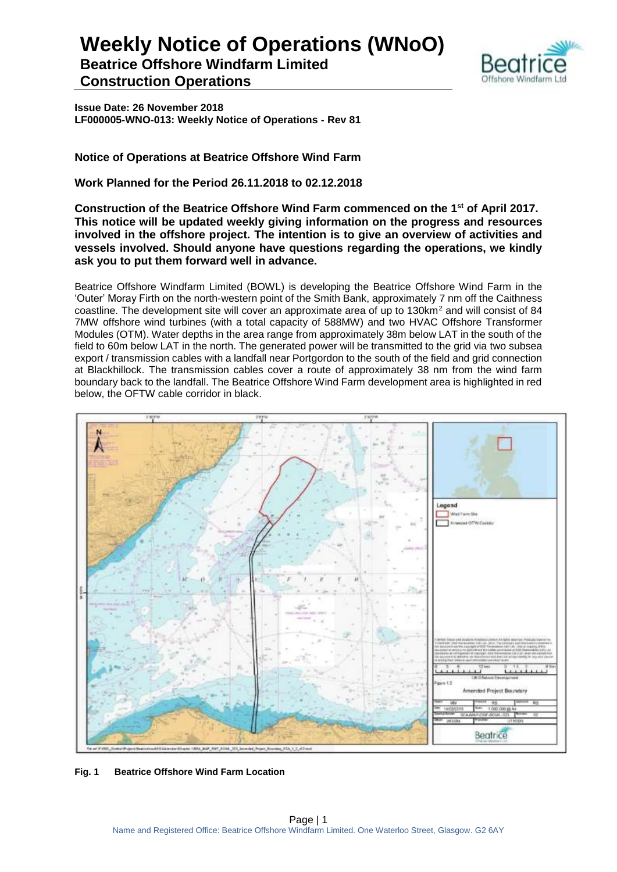### **Weekly Notice of Operations (WNoO) Beatrice Offshore Windfarm Limited**

**Construction Operations**



**Issue Date: 26 November 2018 LF000005-WNO-013: Weekly Notice of Operations - Rev 81**

**Notice of Operations at Beatrice Offshore Wind Farm**

**Work Planned for the Period 26.11.2018 to 02.12.2018**

**Construction of the Beatrice Offshore Wind Farm commenced on the 1 st of April 2017. This notice will be updated weekly giving information on the progress and resources involved in the offshore project. The intention is to give an overview of activities and vessels involved. Should anyone have questions regarding the operations, we kindly ask you to put them forward well in advance.** 

Beatrice Offshore Windfarm Limited (BOWL) is developing the Beatrice Offshore Wind Farm in the 'Outer' Moray Firth on the north-western point of the Smith Bank, approximately 7 nm off the Caithness coastline. The development site will cover an approximate area of up to 130km<sup>2</sup> and will consist of 84 7MW offshore wind turbines (with a total capacity of 588MW) and two HVAC Offshore Transformer Modules (OTM). Water depths in the area range from approximately 38m below LAT in the south of the field to 60m below LAT in the north. The generated power will be transmitted to the grid via two subsea export / transmission cables with a landfall near Portgordon to the south of the field and grid connection at Blackhillock. The transmission cables cover a route of approximately 38 nm from the wind farm boundary back to the landfall. The Beatrice Offshore Wind Farm development area is highlighted in red below, the OFTW cable corridor in black.



**Fig. 1 Beatrice Offshore Wind Farm Location**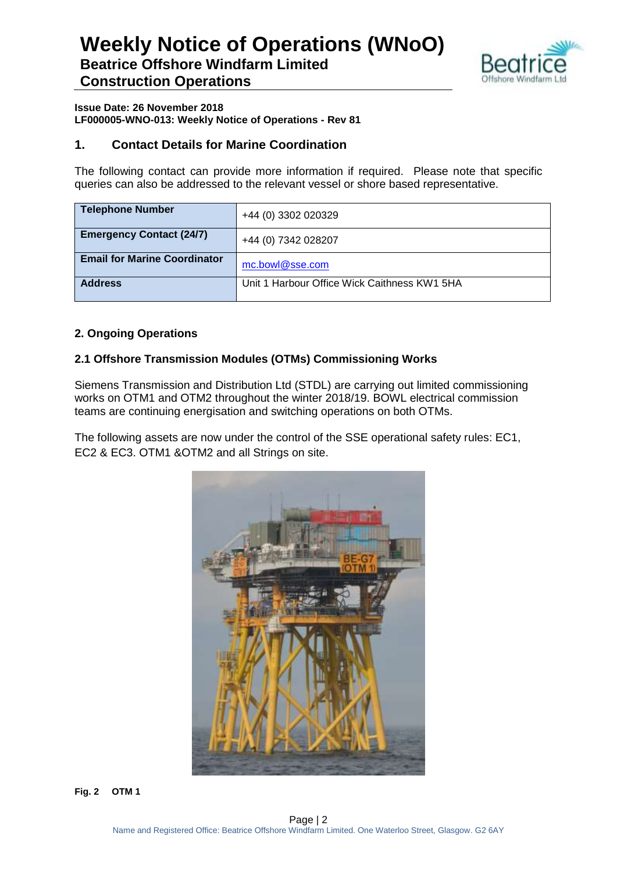

**Issue Date: 26 November 2018 LF000005-WNO-013: Weekly Notice of Operations - Rev 81**

#### **1. Contact Details for Marine Coordination**

The following contact can provide more information if required. Please note that specific queries can also be addressed to the relevant vessel or shore based representative.

| <b>Telephone Number</b>             | +44 (0) 3302 020329                          |
|-------------------------------------|----------------------------------------------|
| <b>Emergency Contact (24/7)</b>     | +44 (0) 7342 028207                          |
| <b>Email for Marine Coordinator</b> | mc.bowl@sse.com                              |
| <b>Address</b>                      | Unit 1 Harbour Office Wick Caithness KW1 5HA |

#### **2. Ongoing Operations**

#### **2.1 Offshore Transmission Modules (OTMs) Commissioning Works**

Siemens Transmission and Distribution Ltd (STDL) are carrying out limited commissioning works on OTM1 and OTM2 throughout the winter 2018/19. BOWL electrical commission teams are continuing energisation and switching operations on both OTMs.

The following assets are now under the control of the SSE operational safety rules: EC1, EC2 & EC3. OTM1 &OTM2 and all Strings on site.



**Fig. 2 OTM 1**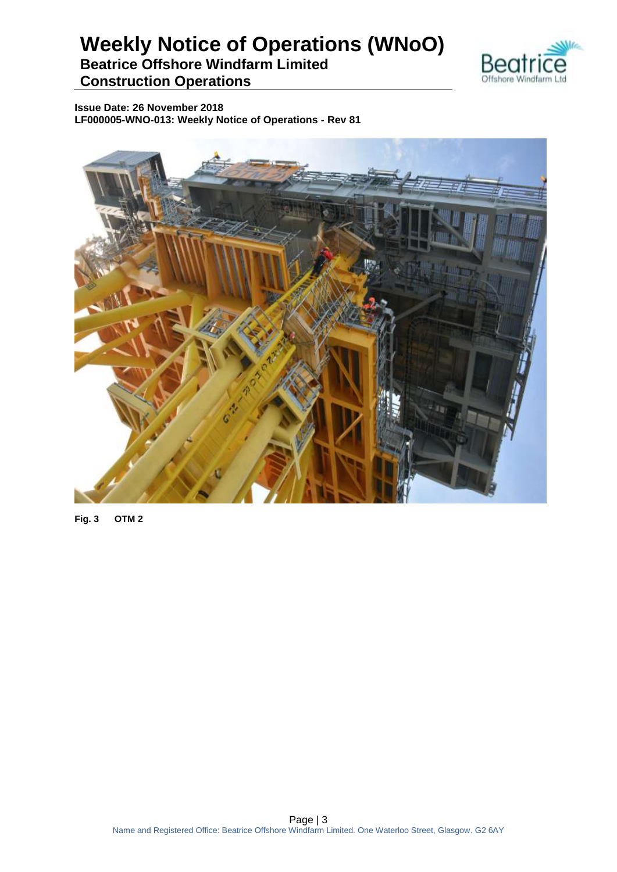

**Beatrice Offshore Windfarm Limited Construction Operations**

**Issue Date: 26 November 2018 LF000005-WNO-013: Weekly Notice of Operations - Rev 81**



**Fig. 3 OTM 2**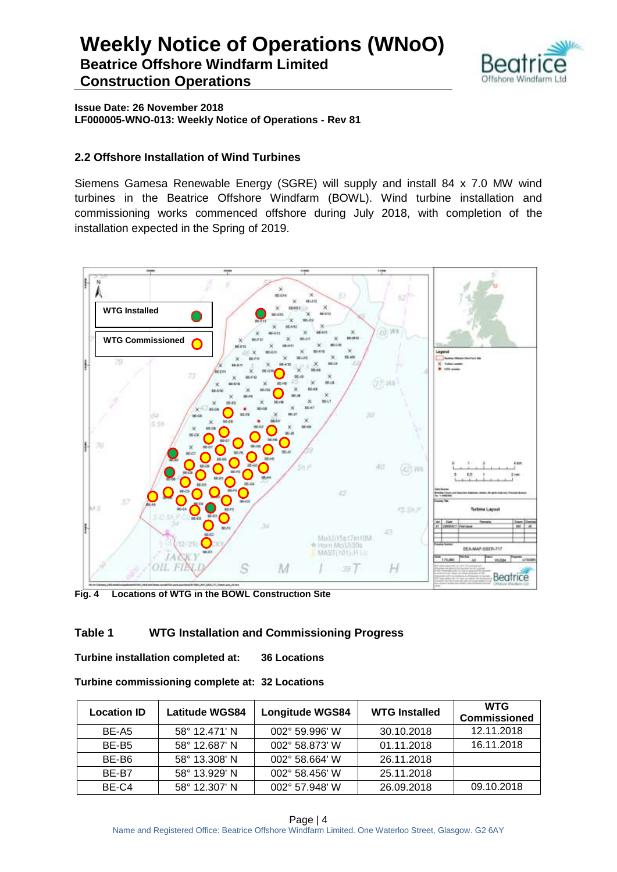

**Issue Date: 26 November 2018 LF000005-WNO-013: Weekly Notice of Operations - Rev 81**

#### **2.2 Offshore Installation of Wind Turbines**

Siemens Gamesa Renewable Energy (SGRE) will supply and install 84 x 7.0 MW wind turbines in the Beatrice Offshore Windfarm (BOWL). Wind turbine installation and commissioning works commenced offshore during July 2018, with completion of the installation expected in the Spring of 2019.



**Fig. 4 Locations of WTG in the BOWL Construction Site**

#### **Table 1 WTG Installation and Commissioning Progress**

**Turbine installation completed at: 36 Locations**

| Turbine commissioning complete at: 32 Locations |  |  |
|-------------------------------------------------|--|--|
|-------------------------------------------------|--|--|

| <b>Location ID</b> | <b>Latitude WGS84</b> | <b>Longitude WGS84</b> | <b>WTG Installed</b> | <b>WTG</b><br><b>Commissioned</b> |
|--------------------|-----------------------|------------------------|----------------------|-----------------------------------|
| BE-A5              | 58° 12.471' N         | 002° 59.996' W         | 30.10.2018           | 12.11.2018                        |
| BE-B <sub>5</sub>  | 58° 12.687' N         | 002° 58.873' W         | 01.11.2018           | 16.11.2018                        |
| BE-B6              | 58° 13.308' N         | 002° 58.664' W         | 26.11.2018           |                                   |
| BE-B7              | 58° 13.929' N         | 002° 58.456' W         | 25.11.2018           |                                   |
| BE-C4              | 58° 12.307' N         | 002° 57.948' W         | 26.09.2018           | 09.10.2018                        |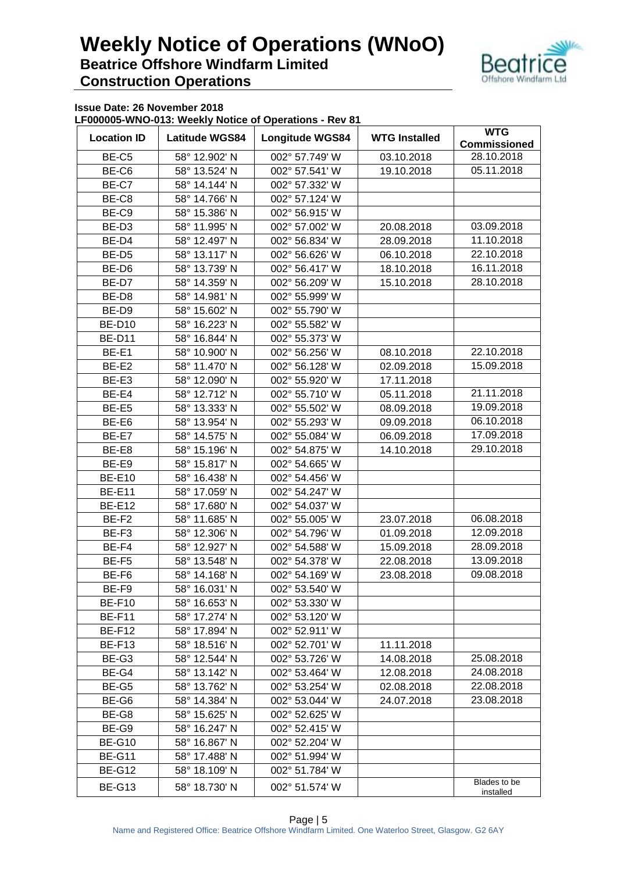

**Issue Date: 26 November 2018**

**LF000005-WNO-013: Weekly Notice of Operations - Rev 81**

| <b>Location ID</b>         | <b>Latitude WGS84</b>          | <b>Longitude WGS84</b> | <b>WTG Installed</b>     | <b>WTG</b>                        |
|----------------------------|--------------------------------|------------------------|--------------------------|-----------------------------------|
| BE-C5                      | 58° 12.902' N                  | 002° 57.749' W         | 03.10.2018               | <b>Commissioned</b><br>28.10.2018 |
| BE-C6                      | 58° 13.524' N                  | 002° 57.541' W         | 19.10.2018               | 05.11.2018                        |
| BE-C7                      | 58° 14.144' N                  | 002° 57.332' W         |                          |                                   |
| BE-C8                      | 58° 14.766' N                  | 002° 57.124' W         |                          |                                   |
| BE-C9                      | 58° 15.386' N                  | 002° 56.915' W         |                          |                                   |
| BE-D <sub>3</sub>          | 58° 11.995' N                  | 002° 57.002' W         | 20.08.2018               | 03.09.2018                        |
| BE-D4                      | 58° 12.497' N                  | 002° 56.834' W         |                          | 11.10.2018                        |
|                            |                                | 002° 56.626' W         | 28.09.2018               | 22.10.2018                        |
| BE-D <sub>5</sub><br>BE-D6 | 58° 13.117' N<br>58° 13.739' N | 002° 56.417' W         | 06.10.2018               | 16.11.2018                        |
| BE-D7                      | 58° 14.359' N                  | 002° 56.209' W         | 18.10.2018<br>15.10.2018 | 28.10.2018                        |
|                            |                                |                        |                          |                                   |
| BE-D8                      | 58° 14.981' N                  | 002° 55.999' W         |                          |                                   |
| BE-D9                      | 58° 15.602' N                  | 002° 55.790' W         |                          |                                   |
| <b>BE-D10</b>              | 58° 16.223' N                  | 002° 55.582' W         |                          |                                   |
| <b>BE-D11</b>              | 58° 16.844' N                  | 002° 55.373' W         |                          |                                   |
| BE-E1                      | 58° 10.900' N                  | 002° 56.256' W         | 08.10.2018               | 22.10.2018                        |
| BE-E2                      | 58° 11.470' N                  | 002° 56.128' W         | 02.09.2018               | 15.09.2018                        |
| BE-E3                      | 58° 12.090' N                  | 002° 55.920' W         | 17.11.2018               |                                   |
| BE-E4                      | 58° 12.712' N                  | 002° 55.710' W         | 05.11.2018               | 21.11.2018                        |
| BE-E5                      | 58° 13.333' N                  | 002° 55.502' W         | 08.09.2018               | 19.09.2018                        |
| BE-E6                      | 58° 13.954' N                  | 002° 55.293' W         | 09.09.2018               | 06.10.2018                        |
| BE-E7                      | 58° 14.575' N                  | 002° 55.084' W         | 06.09.2018               | 17.09.2018                        |
| BE-E8                      | 58° 15.196' N                  | 002° 54.875' W         | 14.10.2018               | 29.10.2018                        |
| BE-E9                      | 58° 15.817' N                  | 002° 54.665' W         |                          |                                   |
| <b>BE-E10</b>              | 58° 16.438' N                  | 002° 54.456' W         |                          |                                   |
| <b>BE-E11</b>              | 58° 17.059' N                  | 002° 54.247' W         |                          |                                   |
| <b>BE-E12</b>              | 58° 17.680' N                  | 002° 54.037' W         |                          |                                   |
| BE-F2                      | 58° 11.685' N                  | 002° 55.005' W         | 23.07.2018               | 06.08.2018                        |
| BE-F3                      | 58° 12.306' N                  | 002° 54.796' W         | 01.09.2018               | 12.09.2018                        |
| BE-F4                      | 58° 12.927' N                  | 002° 54.588' W         | 15.09.2018               | 28.09.2018                        |
| BE-F5                      | 58° 13.548' N                  | 002° 54.378' W         | 22.08.2018               | 13.09.2018                        |
| BE-F6                      | 58° 14.168' N                  | 002° 54.169' W         | 23.08.2018               | 09.08.2018                        |
| BE-F9                      | 58° 16.031' N                  | 002° 53.540' W         |                          |                                   |
| <b>BE-F10</b>              | 58° 16.653' N                  | 002° 53.330' W         |                          |                                   |
| <b>BE-F11</b>              | 58° 17.274' N                  | 002° 53.120' W         |                          |                                   |
| BE-F12                     | 58° 17.894' N                  | 002° 52.911' W         |                          |                                   |
| BE-F13                     | 58° 18.516' N                  | 002° 52.701' W         | 11.11.2018               |                                   |
| BE-G3                      | 58° 12.544' N                  | 002° 53.726' W         | 14.08.2018               | 25.08.2018                        |
| BE-G4                      | 58° 13.142' N                  | 002° 53.464' W         | 12.08.2018               | 24.08.2018                        |
| BE-G5                      | 58° 13.762' N                  | 002° 53.254' W         | 02.08.2018               | 22.08.2018                        |
| BE-G6                      | 58° 14.384' N                  | 002° 53.044' W         | 24.07.2018               | 23.08.2018                        |
| BE-G8                      | 58° 15.625' N                  | 002° 52.625' W         |                          |                                   |
| BE-G9                      | 58° 16.247' N                  | 002° 52.415' W         |                          |                                   |
| <b>BE-G10</b>              | 58° 16.867' N                  | 002° 52.204' W         |                          |                                   |
| <b>BE-G11</b>              | 58° 17.488' N                  | 002° 51.994' W         |                          |                                   |
| <b>BE-G12</b>              | 58° 18.109' N                  | 002° 51.784' W         |                          |                                   |
| <b>BE-G13</b>              | 58° 18.730' N                  | 002° 51.574' W         |                          | Blades to be<br>installed         |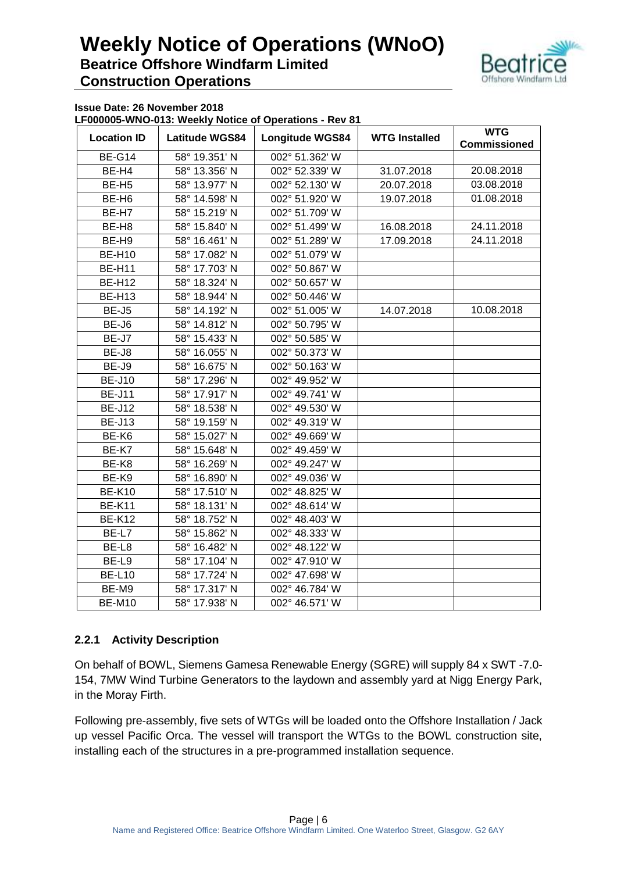

**Issue Date: 26 November 2018**

#### **LF000005-WNO-013: Weekly Notice of Operations - Rev 81**

| <b>Location ID</b> | <b>Latitude WGS84</b> | <b>Longitude WGS84</b> | <b>WTG Installed</b> | <b>WTG</b><br><b>Commissioned</b> |
|--------------------|-----------------------|------------------------|----------------------|-----------------------------------|
| <b>BE-G14</b>      | 58° 19.351' N         | 002° 51.362' W         |                      |                                   |
| BE-H4              | 58° 13.356' N         | 002° 52.339' W         | 31.07.2018           | 20.08.2018                        |
| BE-H <sub>5</sub>  | 58° 13.977' N         | 002° 52.130' W         | 20.07.2018           | 03.08.2018                        |
| BE-H <sub>6</sub>  | 58° 14.598' N         | 002° 51.920' W         | 19.07.2018           | 01.08.2018                        |
| BE-H7              | 58° 15.219' N         | 002° 51.709' W         |                      |                                   |
| BE-H8              | 58° 15.840' N         | 002° 51.499' W         | 16.08.2018           | 24.11.2018                        |
| BE-H9              | 58° 16.461' N         | 002° 51.289' W         | 17.09.2018           | 24.11.2018                        |
| <b>BE-H10</b>      | 58° 17.082' N         | 002° 51.079' W         |                      |                                   |
| <b>BE-H11</b>      | 58° 17.703' N         | 002° 50.867' W         |                      |                                   |
| <b>BE-H12</b>      | 58° 18.324' N         | 002° 50.657' W         |                      |                                   |
| <b>BE-H13</b>      | 58° 18.944' N         | 002° 50.446' W         |                      |                                   |
| BE-J5              | 58° 14.192' N         | 002° 51.005' W         | 14.07.2018           | 10.08.2018                        |
| BE-J6              | 58° 14.812' N         | 002° 50.795' W         |                      |                                   |
| BE-J7              | 58° 15.433' N         | 002° 50.585' W         |                      |                                   |
| BE-J8              | 58° 16.055' N         | 002° 50.373' W         |                      |                                   |
| BE-J9              | 58° 16.675' N         | 002° 50.163' W         |                      |                                   |
| <b>BE-J10</b>      | 58° 17.296' N         | 002° 49.952' W         |                      |                                   |
| <b>BE-J11</b>      | 58° 17.917' N         | 002° 49.741' W         |                      |                                   |
| <b>BE-J12</b>      | 58° 18.538' N         | 002° 49.530' W         |                      |                                   |
| <b>BE-J13</b>      | 58° 19.159' N         | 002° 49.319' W         |                      |                                   |
| BE-K6              | 58° 15.027' N         | 002° 49.669' W         |                      |                                   |
| BE-K7              | 58° 15.648' N         | 002° 49.459' W         |                      |                                   |
| BE-K8              | 58° 16.269' N         | 002° 49.247' W         |                      |                                   |
| BE-K9              | 58° 16.890' N         | 002° 49.036' W         |                      |                                   |
| <b>BE-K10</b>      | 58° 17.510' N         | 002° 48.825' W         |                      |                                   |
| <b>BE-K11</b>      | 58° 18.131' N         | 002° 48.614' W         |                      |                                   |
| <b>BE-K12</b>      | 58° 18.752' N         | 002° 48.403' W         |                      |                                   |
| BE-L7              | 58° 15.862' N         | 002° 48.333' W         |                      |                                   |
| BE-L8              | 58° 16.482' N         | 002° 48.122' W         |                      |                                   |
| BE-L9              | 58° 17.104' N         | 002° 47.910' W         |                      |                                   |
| <b>BE-L10</b>      | 58° 17.724' N         | 002° 47.698' W         |                      |                                   |
| BE-M9              | 58° 17.317' N         | 002° 46.784' W         |                      |                                   |
| <b>BE-M10</b>      | 58° 17.938' N         | 002° 46.571' W         |                      |                                   |

#### **2.2.1 Activity Description**

On behalf of BOWL, Siemens Gamesa Renewable Energy (SGRE) will supply 84 x SWT -7.0- 154, 7MW Wind Turbine Generators to the laydown and assembly yard at Nigg Energy Park, in the Moray Firth.

Following pre-assembly, five sets of WTGs will be loaded onto the Offshore Installation / Jack up vessel Pacific Orca. The vessel will transport the WTGs to the BOWL construction site, installing each of the structures in a pre-programmed installation sequence.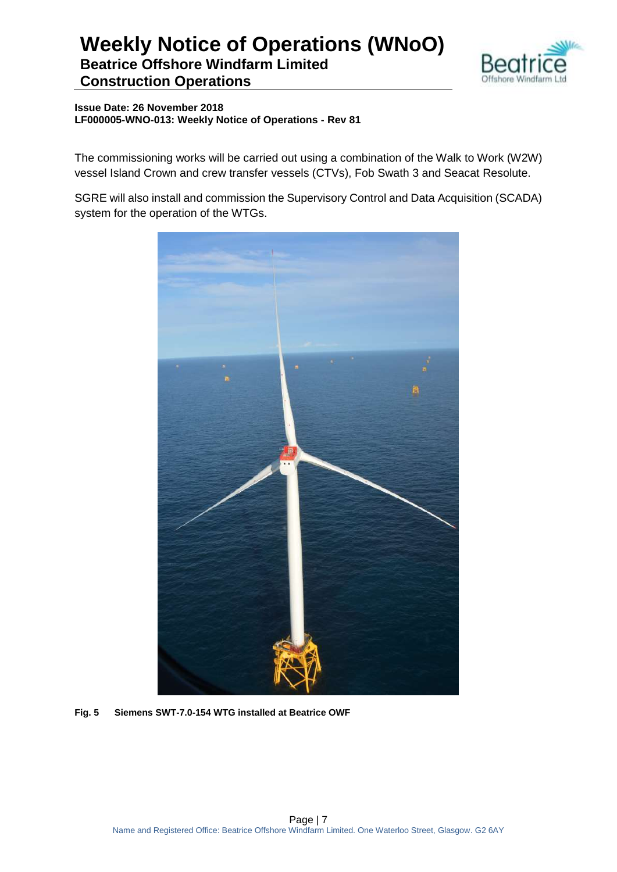

**Issue Date: 26 November 2018 LF000005-WNO-013: Weekly Notice of Operations - Rev 81**

The commissioning works will be carried out using a combination of the Walk to Work (W2W) vessel Island Crown and crew transfer vessels (CTVs), Fob Swath 3 and Seacat Resolute.

SGRE will also install and commission the Supervisory Control and Data Acquisition (SCADA) system for the operation of the WTGs.



**Fig. 5 Siemens SWT-7.0-154 WTG installed at Beatrice OWF**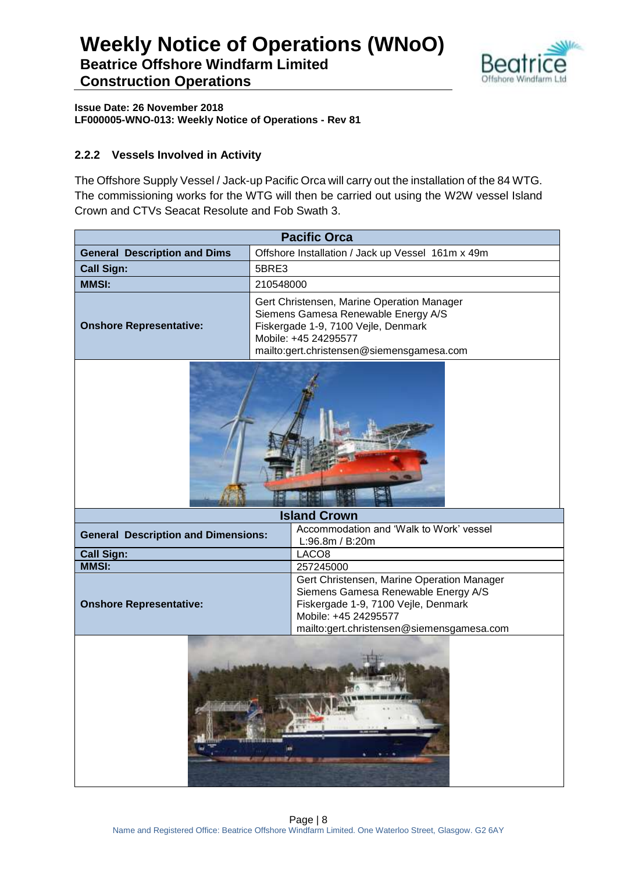

**Issue Date: 26 November 2018 LF000005-WNO-013: Weekly Notice of Operations - Rev 81**

#### **2.2.2 Vessels Involved in Activity**

The Offshore Supply Vessel / Jack-up Pacific Orca will carry out the installation of the 84 WTG. The commissioning works for the WTG will then be carried out using the W2W vessel Island Crown and CTVs Seacat Resolute and Fob Swath 3.

|                                            | <b>Pacific Orca</b>                                                                                                                                                                           |  |
|--------------------------------------------|-----------------------------------------------------------------------------------------------------------------------------------------------------------------------------------------------|--|
| <b>General Description and Dims</b>        | Offshore Installation / Jack up Vessel 161m x 49m                                                                                                                                             |  |
| <b>Call Sign:</b>                          | 5BRE3                                                                                                                                                                                         |  |
| <b>MMSI:</b>                               | 210548000                                                                                                                                                                                     |  |
| <b>Onshore Representative:</b>             | Gert Christensen, Marine Operation Manager<br>Siemens Gamesa Renewable Energy A/S<br>Fiskergade 1-9, 7100 Vejle, Denmark<br>Mobile: +45 24295577<br>mailto:gert.christensen@siemensgamesa.com |  |
|                                            |                                                                                                                                                                                               |  |
| <b>Island Crown</b>                        |                                                                                                                                                                                               |  |
| <b>General Description and Dimensions:</b> | Accommodation and 'Walk to Work' vessel<br>L:96.8m / B:20m                                                                                                                                    |  |
| <b>Call Sign:</b>                          | LACO <sub>8</sub>                                                                                                                                                                             |  |
| <b>MMSI:</b>                               | 257245000                                                                                                                                                                                     |  |
| <b>Onshore Representative:</b>             | Gert Christensen, Marine Operation Manager<br>Siemens Gamesa Renewable Energy A/S<br>Fiskergade 1-9, 7100 Vejle, Denmark<br>Mobile: +45 24295577<br>mailto:gert.christensen@siemensgamesa.com |  |
| 经应用的                                       |                                                                                                                                                                                               |  |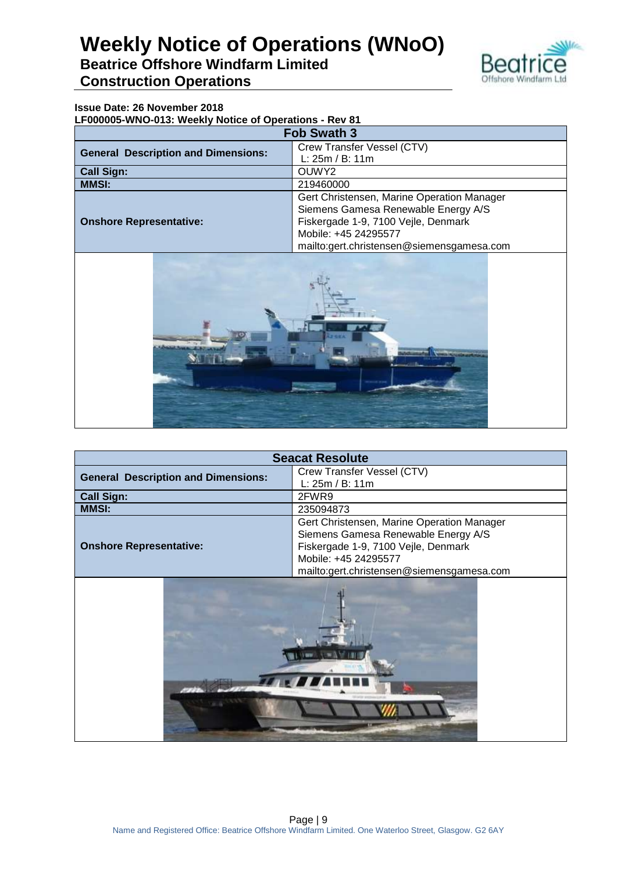

### **Beatrice Offshore Windfarm Limited Construction Operations**

#### **Issue Date: 26 November 2018**

**LF000005-WNO-013: Weekly Notice of Operations - Rev 81**

| <b>Fob Swath 3</b>                         |                                            |  |
|--------------------------------------------|--------------------------------------------|--|
| <b>General Description and Dimensions:</b> | Crew Transfer Vessel (CTV)                 |  |
|                                            | L: 25m / B: 11m                            |  |
| <b>Call Sign:</b>                          | OUWY <sub>2</sub>                          |  |
| <b>MMSI:</b>                               | 219460000                                  |  |
|                                            | Gert Christensen, Marine Operation Manager |  |
|                                            | Siemens Gamesa Renewable Energy A/S        |  |
| <b>Onshore Representative:</b>             | Fiskergade 1-9, 7100 Vejle, Denmark        |  |
|                                            | Mobile: +45 24295577                       |  |
|                                            | mailto:gert.christensen@siemensgamesa.com  |  |



| <b>Seacat Resolute</b>                     |                                            |  |  |
|--------------------------------------------|--------------------------------------------|--|--|
| <b>General Description and Dimensions:</b> | Crew Transfer Vessel (CTV)                 |  |  |
|                                            | L: 25m / B: 11m                            |  |  |
| <b>Call Sign:</b>                          | 2FWR9                                      |  |  |
| <b>MMSI:</b>                               | 235094873                                  |  |  |
|                                            | Gert Christensen, Marine Operation Manager |  |  |
|                                            | Siemens Gamesa Renewable Energy A/S        |  |  |
| <b>Onshore Representative:</b>             | Fiskergade 1-9, 7100 Vejle, Denmark        |  |  |
|                                            | Mobile: +45 24295577                       |  |  |
|                                            | mailto:gert.christensen@siemensgamesa.com  |  |  |
|                                            |                                            |  |  |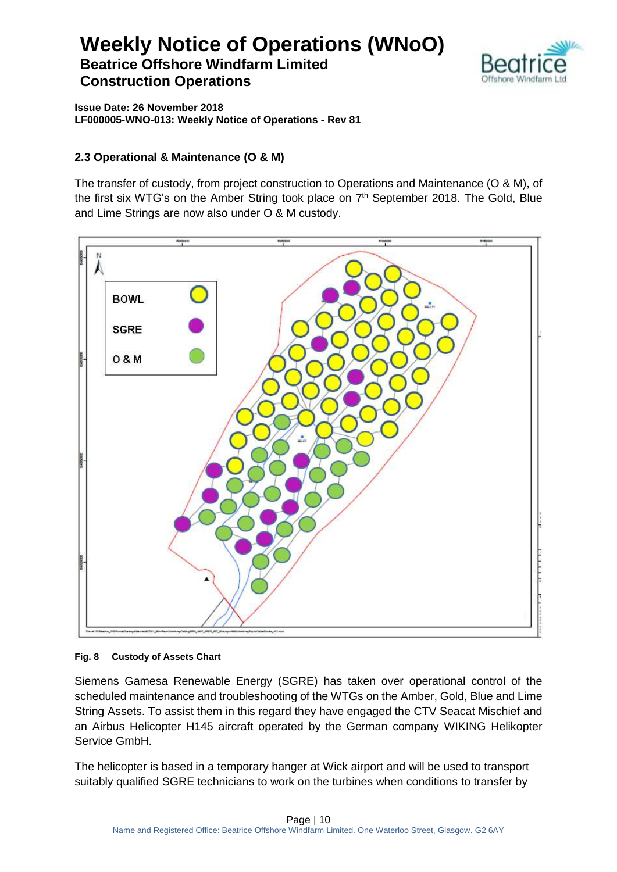

**Issue Date: 26 November 2018 LF000005-WNO-013: Weekly Notice of Operations - Rev 81**

#### **2.3 Operational & Maintenance (O & M)**

The transfer of custody, from project construction to Operations and Maintenance (O & M), of the first six WTG's on the Amber String took place on 7<sup>th</sup> September 2018. The Gold, Blue and Lime Strings are now also under O & M custody.



#### **Fig. 8 Custody of Assets Chart**

Siemens Gamesa Renewable Energy (SGRE) has taken over operational control of the scheduled maintenance and troubleshooting of the WTGs on the Amber, Gold, Blue and Lime String Assets. To assist them in this regard they have engaged the CTV Seacat Mischief and an Airbus Helicopter H145 aircraft operated by the German company WIKING Helikopter Service GmbH.

The helicopter is based in a temporary hanger at Wick airport and will be used to transport suitably qualified SGRE technicians to work on the turbines when conditions to transfer by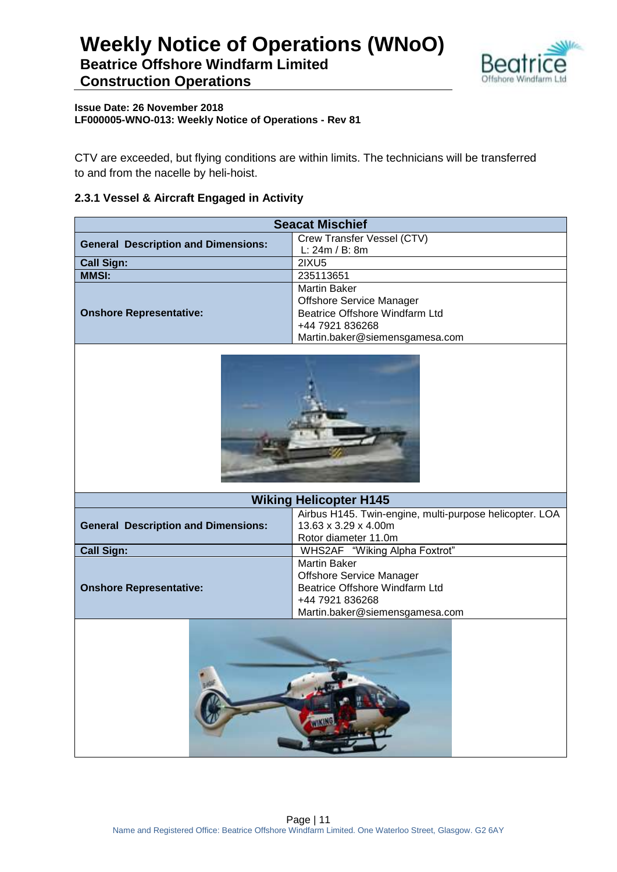

**Issue Date: 26 November 2018 LF000005-WNO-013: Weekly Notice of Operations - Rev 81**

CTV are exceeded, but flying conditions are within limits. The technicians will be transferred to and from the nacelle by heli-hoist.

#### **2.3.1 Vessel & Aircraft Engaged in Activity**

|                                                                                                                                                                                 | <b>Seacat Mischief</b>                                 |  |
|---------------------------------------------------------------------------------------------------------------------------------------------------------------------------------|--------------------------------------------------------|--|
| <b>General Description and Dimensions:</b>                                                                                                                                      | Crew Transfer Vessel (CTV)                             |  |
|                                                                                                                                                                                 | L: 24m / B: 8m                                         |  |
| <b>Call Sign:</b>                                                                                                                                                               | <b>2IXU5</b>                                           |  |
| <b>MMSI:</b>                                                                                                                                                                    | 235113651                                              |  |
|                                                                                                                                                                                 | <b>Martin Baker</b><br><b>Offshore Service Manager</b> |  |
| <b>Onshore Representative:</b>                                                                                                                                                  | Beatrice Offshore Windfarm Ltd                         |  |
|                                                                                                                                                                                 | +44 7921 836268                                        |  |
|                                                                                                                                                                                 | Martin.baker@siemensgamesa.com                         |  |
|                                                                                                                                                                                 |                                                        |  |
|                                                                                                                                                                                 | <b>Wiking Helicopter H145</b>                          |  |
| Airbus H145. Twin-engine, multi-purpose helicopter. LOA<br>13.63 x 3.29 x 4.00m<br><b>General Description and Dimensions:</b><br>Rotor diameter 11.0m                           |                                                        |  |
| WHS2AF "Wiking Alpha Foxtrot"<br><b>Call Sign:</b>                                                                                                                              |                                                        |  |
| <b>Martin Baker</b><br><b>Offshore Service Manager</b><br>Beatrice Offshore Windfarm Ltd<br><b>Onshore Representative:</b><br>+44 7921 836268<br>Martin.baker@siemensgamesa.com |                                                        |  |
| <b>MIXING</b>                                                                                                                                                                   |                                                        |  |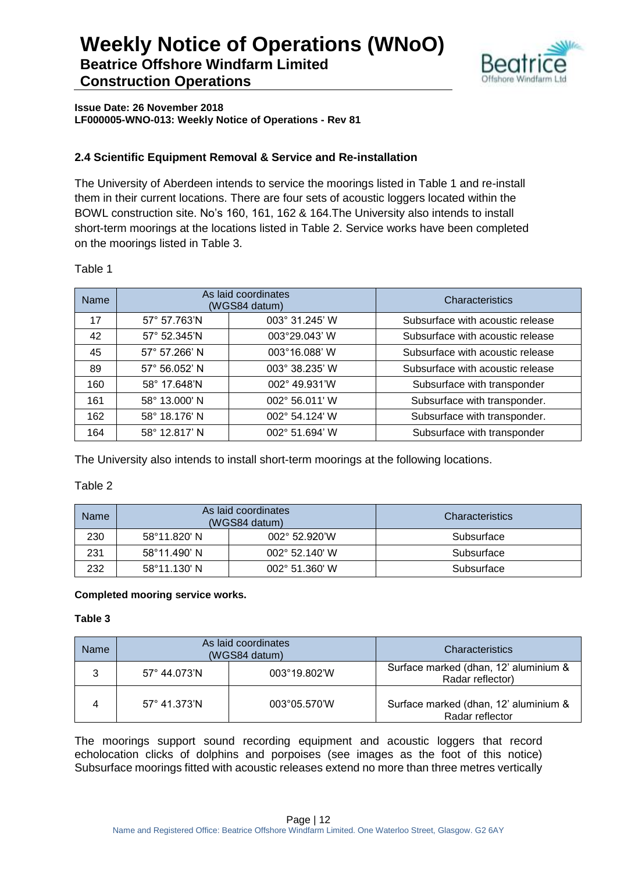

**Issue Date: 26 November 2018 LF000005-WNO-013: Weekly Notice of Operations - Rev 81**

#### **2.4 Scientific Equipment Removal & Service and Re-installation**

The University of Aberdeen intends to service the moorings listed in Table 1 and re-install them in their current locations. There are four sets of acoustic loggers located within the BOWL construction site. No's 160, 161, 162 & 164.The University also intends to install short-term moorings at the locations listed in Table 2. Service works have been completed on the moorings listed in Table 3.

#### Table 1

| Name | As laid coordinates<br>(WGS84 datum) |                | Characteristics                  |
|------|--------------------------------------|----------------|----------------------------------|
| 17   | 57° 57.763'N                         | 003° 31.245' W | Subsurface with acoustic release |
| 42   | 57° 52.345'N                         | 003°29.043' W  | Subsurface with acoustic release |
| 45   | 57° 57.266' N                        | 003°16.088' W  | Subsurface with acoustic release |
| 89   | 57° 56.052' N                        | 003° 38.235' W | Subsurface with acoustic release |
| 160  | 58° 17.648'N                         | 002° 49.931'W  | Subsurface with transponder      |
| 161  | 58° 13.000' N                        | 002° 56.011' W | Subsurface with transponder.     |
| 162  | 58° 18.176' N                        | 002° 54.124' W | Subsurface with transponder.     |
| 164  | 58° 12.817' N                        | 002° 51.694' W | Subsurface with transponder      |

The University also intends to install short-term moorings at the following locations.

#### Table 2

| <b>Name</b> | As laid coordinates<br>(WGS84 datum) |                         | Characteristics |
|-------------|--------------------------------------|-------------------------|-----------------|
| 230         | 58°11.820' N                         | $002^{\circ}$ 52.920'W  | Subsurface      |
| 231         | 58°11.490'N                          | $002^{\circ}$ 52.140' W | Subsurface      |
| 232         | 58°11.130' N                         | 002° 51.360' W          | Subsurface      |

#### **Completed mooring service works.**

#### **Table 3**

| <b>Name</b> | As laid coordinates<br>(WGS84 datum) |              | Characteristics                                           |
|-------------|--------------------------------------|--------------|-----------------------------------------------------------|
| ◠           | 57° 44.073'N                         | 003°19.802'W | Surface marked (dhan, 12' aluminium &<br>Radar reflector) |
|             | $57^{\circ}$ 41.373'N                | 003°05.570'W | Surface marked (dhan, 12' aluminium &<br>Radar reflector  |

The moorings support sound recording equipment and acoustic loggers that record echolocation clicks of dolphins and porpoises (see images as the foot of this notice) Subsurface moorings fitted with acoustic releases extend no more than three metres vertically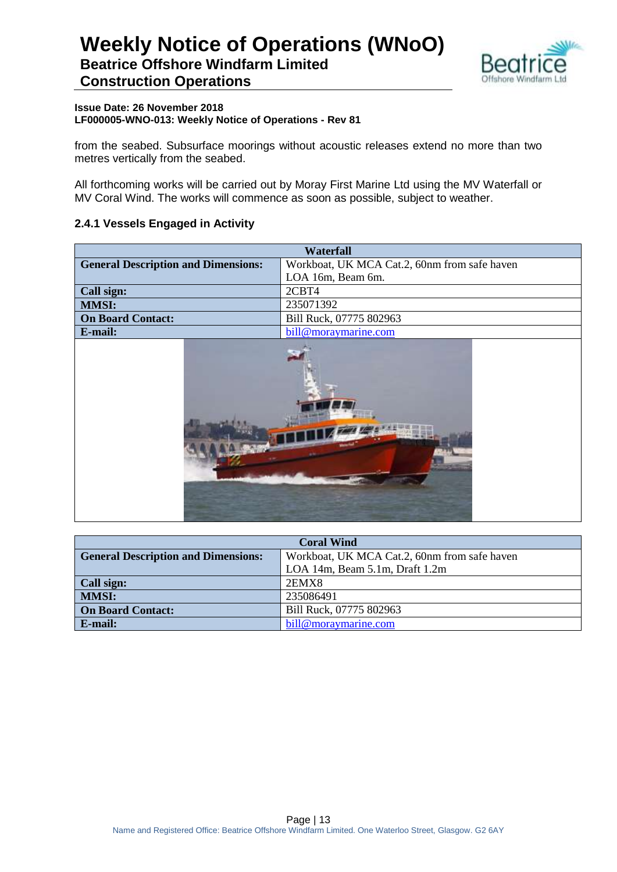

#### **Issue Date: 26 November 2018 LF000005-WNO-013: Weekly Notice of Operations - Rev 81**

from the seabed. Subsurface moorings without acoustic releases extend no more than two metres vertically from the seabed.

All forthcoming works will be carried out by Moray First Marine Ltd using the MV Waterfall or MV Coral Wind. The works will commence as soon as possible, subject to weather.

#### **2.4.1 Vessels Engaged in Activity**

| Waterfall                                  |                                              |  |  |  |
|--------------------------------------------|----------------------------------------------|--|--|--|
| <b>General Description and Dimensions:</b> | Workboat, UK MCA Cat.2, 60nm from safe haven |  |  |  |
|                                            | LOA 16m, Beam 6m.                            |  |  |  |
| Call sign:                                 | 2CBT4                                        |  |  |  |
| <b>MMSI:</b>                               | 235071392                                    |  |  |  |
| <b>On Board Contact:</b>                   | Bill Ruck, 07775 802963                      |  |  |  |
| E-mail:                                    | bill@moraymarine.com                         |  |  |  |
|                                            |                                              |  |  |  |



| <b>Coral Wind</b>                          |                                              |  |  |  |
|--------------------------------------------|----------------------------------------------|--|--|--|
| <b>General Description and Dimensions:</b> | Workboat, UK MCA Cat.2, 60nm from safe haven |  |  |  |
|                                            | LOA 14m, Beam 5.1m, Draft 1.2m               |  |  |  |
| Call sign:                                 | 2EMX8                                        |  |  |  |
| <b>MMSI:</b>                               | 235086491                                    |  |  |  |
| <b>On Board Contact:</b>                   | Bill Ruck, 07775 802963                      |  |  |  |
| E-mail:                                    | bill@moraymarine.com                         |  |  |  |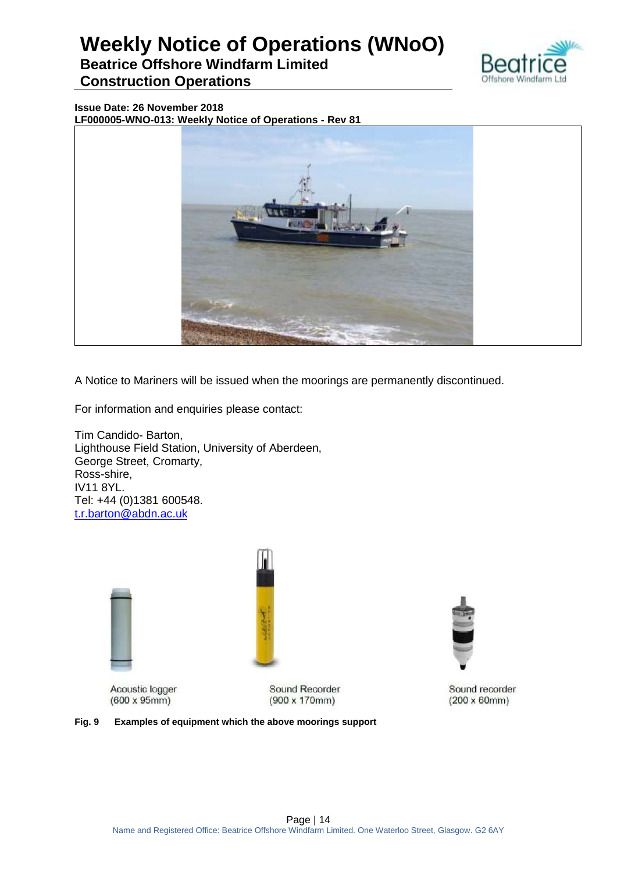

### **Beatrice Offshore Windfarm Limited Construction Operations**

**Issue Date: 26 November 2018 LF000005-WNO-013: Weekly Notice of Operations - Rev 81**



A Notice to Mariners will be issued when the moorings are permanently discontinued.

For information and enquiries please contact:

Tim Candido- Barton, Lighthouse Field Station, University of Aberdeen, George Street, Cromarty, Ross-shire, IV11 8YL. Tel: +44 (0)1381 600548. [t.r.barton@abdn.ac.uk](mailto:t.r.barton@abdn.ac.uk)





Acoustic logger  $(600 \times 95 \text{mm})$ 

Sound Recorder  $(900 \times 170$ mm)



Sound recorder  $(200 \times 60$ mm $)$ 

**Fig. 9 Examples of equipment which the above moorings support**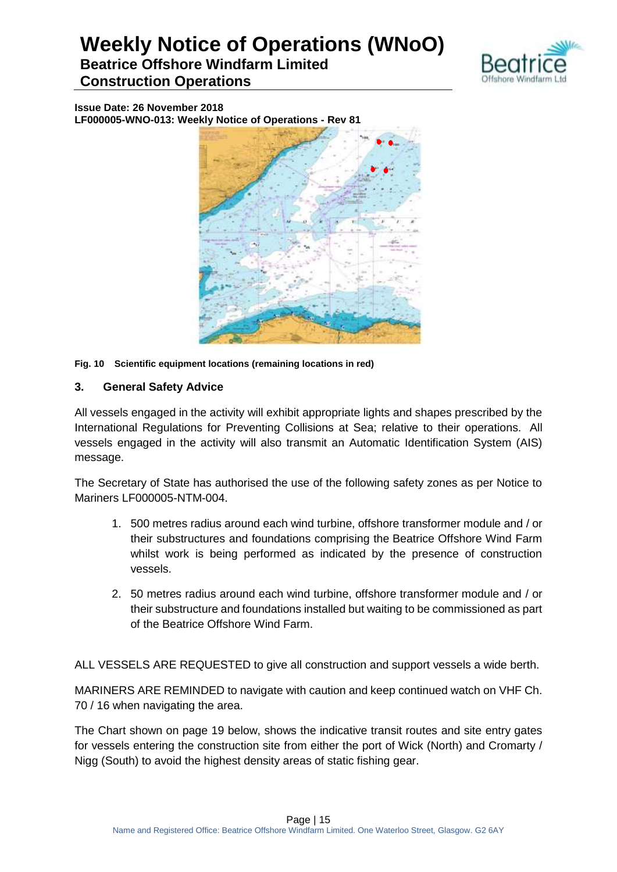### **Weekly Notice of Operations (WNoO) Beatrice Offshore Windfarm Limited**



**Construction Operations**

**Issue Date: 26 November 2018 LF000005-WNO-013: Weekly Notice of Operations - Rev 81**



**Fig. 10 Scientific equipment locations (remaining locations in red)**

#### **3. General Safety Advice**

All vessels engaged in the activity will exhibit appropriate lights and shapes prescribed by the International Regulations for Preventing Collisions at Sea; relative to their operations. All vessels engaged in the activity will also transmit an Automatic Identification System (AIS) message.

The Secretary of State has authorised the use of the following safety zones as per Notice to Mariners LF000005-NTM-004.

- 1. 500 metres radius around each wind turbine, offshore transformer module and / or their substructures and foundations comprising the Beatrice Offshore Wind Farm whilst work is being performed as indicated by the presence of construction vessels.
- 2. 50 metres radius around each wind turbine, offshore transformer module and / or their substructure and foundations installed but waiting to be commissioned as part of the Beatrice Offshore Wind Farm.

ALL VESSELS ARE REQUESTED to give all construction and support vessels a wide berth.

MARINERS ARE REMINDED to navigate with caution and keep continued watch on VHF Ch. 70 / 16 when navigating the area.

The Chart shown on page 19 below, shows the indicative transit routes and site entry gates for vessels entering the construction site from either the port of Wick (North) and Cromarty / Nigg (South) to avoid the highest density areas of static fishing gear.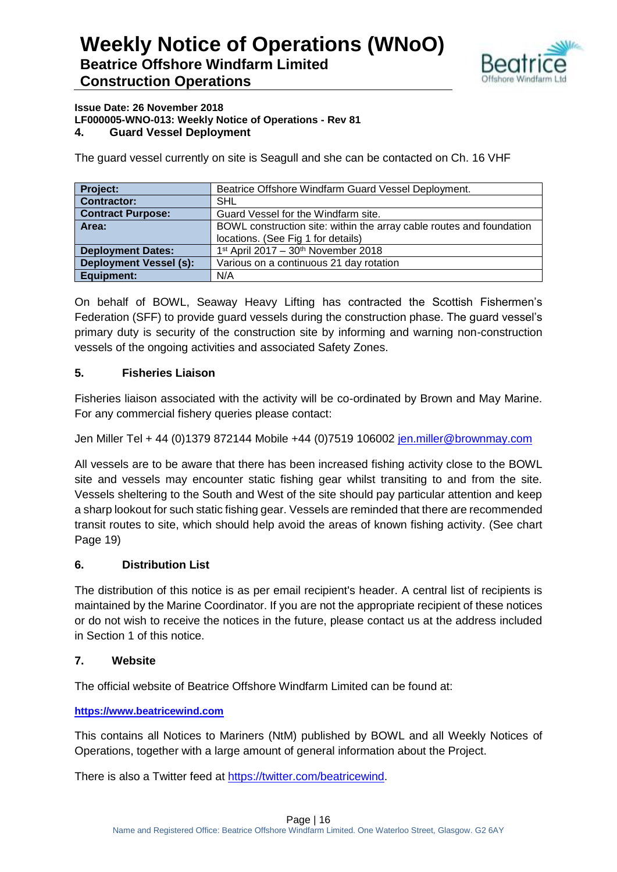

#### **Issue Date: 26 November 2018 LF000005-WNO-013: Weekly Notice of Operations - Rev 81 4. Guard Vessel Deployment**

The guard vessel currently on site is Seagull and she can be contacted on Ch. 16 VHF

| <b>Project:</b><br>Beatrice Offshore Windfarm Guard Vessel Deployment. |                                                                      |  |  |
|------------------------------------------------------------------------|----------------------------------------------------------------------|--|--|
| <b>Contractor:</b>                                                     | SHL                                                                  |  |  |
| <b>Contract Purpose:</b>                                               | Guard Vessel for the Windfarm site.                                  |  |  |
| Area:                                                                  | BOWL construction site: within the array cable routes and foundation |  |  |
|                                                                        | locations. (See Fig 1 for details)                                   |  |  |
| <b>Deployment Dates:</b>                                               | $1st$ April 2017 – 30 <sup>th</sup> November 2018                    |  |  |
| <b>Deployment Vessel (s):</b>                                          | Various on a continuous 21 day rotation                              |  |  |
| <b>Equipment:</b>                                                      | N/A                                                                  |  |  |

On behalf of BOWL, Seaway Heavy Lifting has contracted the Scottish Fishermen's Federation (SFF) to provide guard vessels during the construction phase. The guard vessel's primary duty is security of the construction site by informing and warning non-construction vessels of the ongoing activities and associated Safety Zones.

#### **5. Fisheries Liaison**

Fisheries liaison associated with the activity will be co-ordinated by Brown and May Marine. For any commercial fishery queries please contact:

Jen Miller Tel + 44 (0)1379 872144 Mobile +44 (0)7519 106002 [jen.miller@brownmay.com](mailto:jen.miller@brownmay.com)

All vessels are to be aware that there has been increased fishing activity close to the BOWL site and vessels may encounter static fishing gear whilst transiting to and from the site. Vessels sheltering to the South and West of the site should pay particular attention and keep a sharp lookout for such static fishing gear. Vessels are reminded that there are recommended transit routes to site, which should help avoid the areas of known fishing activity. (See chart Page 19)

#### **6. Distribution List**

The distribution of this notice is as per email recipient's header. A central list of recipients is maintained by the Marine Coordinator. If you are not the appropriate recipient of these notices or do not wish to receive the notices in the future, please contact us at the address included in Section 1 of this notice.

#### **7. Website**

The official website of Beatrice Offshore Windfarm Limited can be found at:

**[https://www.beatricewind.com](https://www.beatricewind.com/)**

This contains all Notices to Mariners (NtM) published by BOWL and all Weekly Notices of Operations, together with a large amount of general information about the Project.

There is also a Twitter feed at [https://twitter.com/beatricewind.](https://twitter.com/beatricewind)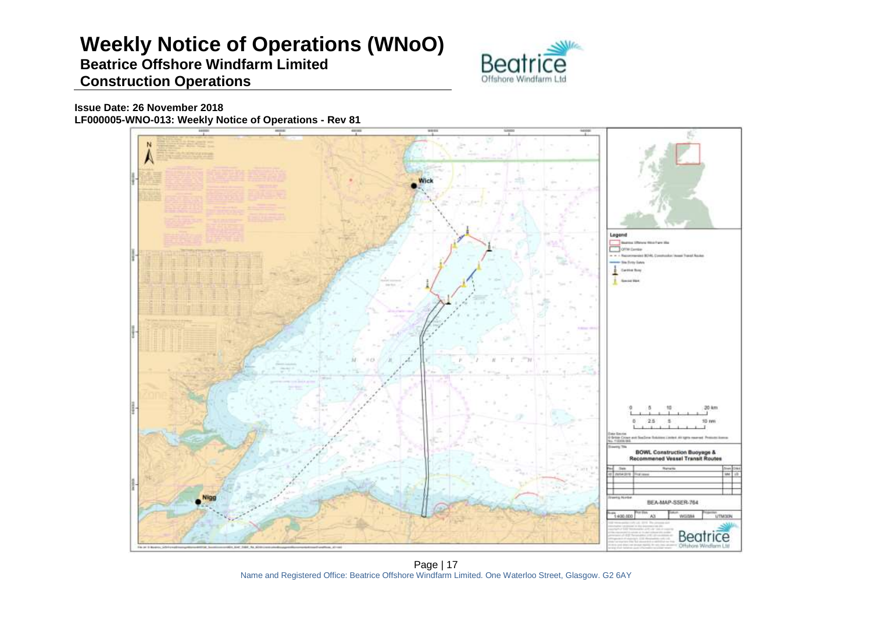### **Beatrice Offshore Windfarm Limited Construction Operations**



**Issue Date: 26 November 2018 LF000005-WNO-013: Weekly Notice of Operations - Rev 81**



Page | 17 Name and Registered Office: Beatrice Offshore Windfarm Limited. One Waterloo Street, Glasgow. G2 6AY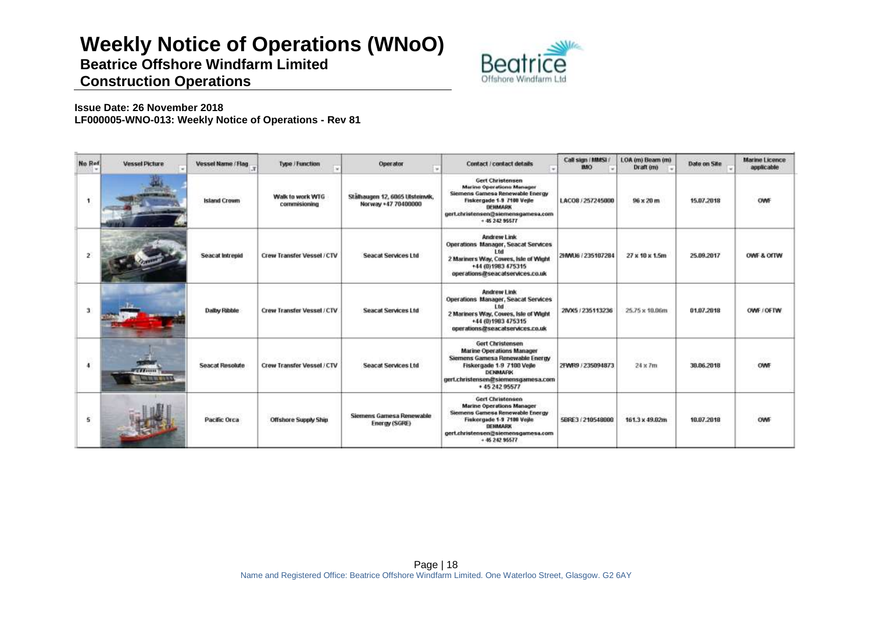**Beatrice Offshore Windfarm Limited Construction Operations**



#### **Issue Date: 26 November 2018 LF000005-WNO-013: Weekly Notice of Operations - Rev 81**

| No Rof       | <b>Vessel Picture</b>            | Vessel Name / Flag.    | Type / Function                  | Operator<br>14                                         | Contact / contact details                                                                                                                                                                             | Call sign (MMSL)<br><b>IMO</b> | LOA (m) Beam (m)<br>Draft (m) | Date on Site                 | <b>Marine Licence</b><br>applicable |
|--------------|----------------------------------|------------------------|----------------------------------|--------------------------------------------------------|-------------------------------------------------------------------------------------------------------------------------------------------------------------------------------------------------------|--------------------------------|-------------------------------|------------------------------|-------------------------------------|
|              |                                  | <b>Island Crown</b>    | Walk to work WTG<br>commisioning | Stälhaugen 12, 6065 Ulsteinvik,<br>Norway +47 70400000 | <b>Gert Christensen</b><br><b>Marine Operations Manager</b><br>Siemens Gamese Renewable Energy<br>Fiskergade 1-9 7100 Vejle<br>DENMARK<br>gert.christensen@siemensgamesa.com<br>$+ 4524295577$        | LACOS / 257245000              | $96 \times 20$ m              | 15.07.2018                   |                                     |
| $\mathbf{z}$ |                                  | Seacat Intrepid        | Crew Transfer Vessel / CTV       | <b>Seacat Services Ltd</b>                             | Andrew Link<br>Operations Manager, Seacat Services<br>1 frit<br>2 Mariners Way, Cowes, Isle of Wight<br>+44 (0)1983 475315<br>operations@seacatservices.co.uk                                         | 2HWU6 / 235107284              | $27 \times 10 \times 1.5m$    | 25.09.2017                   | OWE & OITW                          |
| 3            |                                  | Dalby Ribble           | Crew Transfer Vessel / CTV       | <b>Seacat Services Ltd</b>                             | Andrew Link<br><b>Operations Manager, Seacat Services</b><br>l tri<br>2 Mariners Way, Cowes, Isle of Wight<br>+44 (0) 1983 475315<br>operations@seacatservices.co.uk                                  | 2IVX5 / 235113236              | 25.75 x 10.06m                | 01.07.2018                   | OWE COFTW                           |
| 4            | <b>TAALLER</b><br><b>H.W.WIN</b> | <b>Seacat Resolute</b> | Crew Transfer Vessel / CTV       | Seacat Services Ltd                                    | Gert Christensen<br><b>Marine Operations Manager</b><br>Siemens Gamesa Renewable Energy<br>Fiskergade 1-9 7100 Vejle<br><b>DENMARK</b><br>gert.christensen@siemensgamesa.com<br>+ 45 242 95577        | 2FWR9 / 235094873              | 62060<br>$24 \times 7m$       | teran serengan<br>38,86,2018 | OWF                                 |
| 5.           |                                  | Pacific Orca           | <b>Offshore Supply Ship</b>      | Siemens Gamesa Renewable<br>Energy (SGRE)              | <b>Gert Christensen</b><br><b>Marine Operations Manager</b><br>Siemens Gamesa Renewable Energy<br>Fiskergade 1-9 7100 Vejle<br><b>DENMARK</b><br>gert.christensen@siemensgamesa.com<br>$+ 4624295577$ | 5BRE3 / 210548000              | 161.3 x 49.02m                | 10.07.2018                   | OWF                                 |